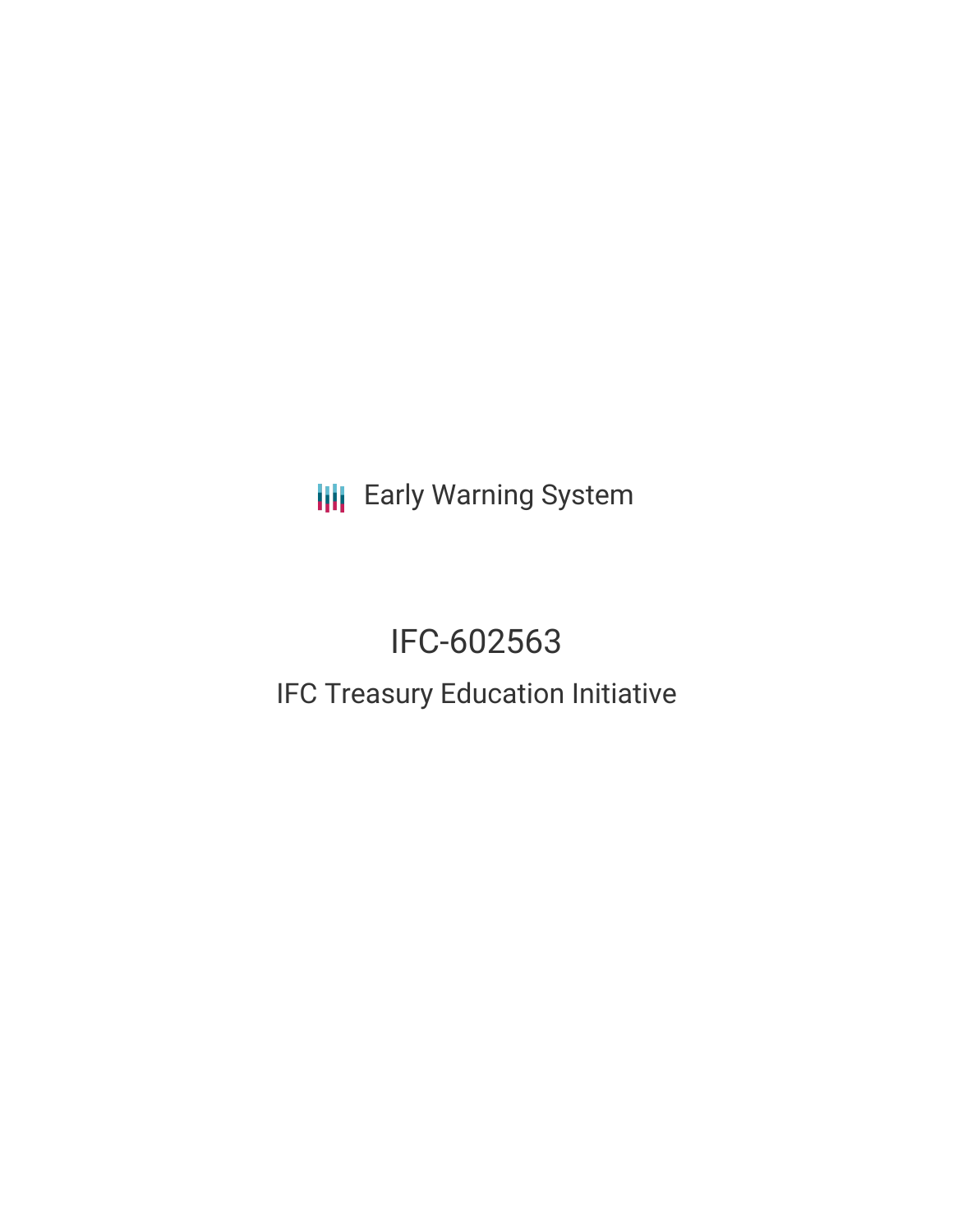**III** Early Warning System

# IFC-602563 IFC Treasury Education Initiative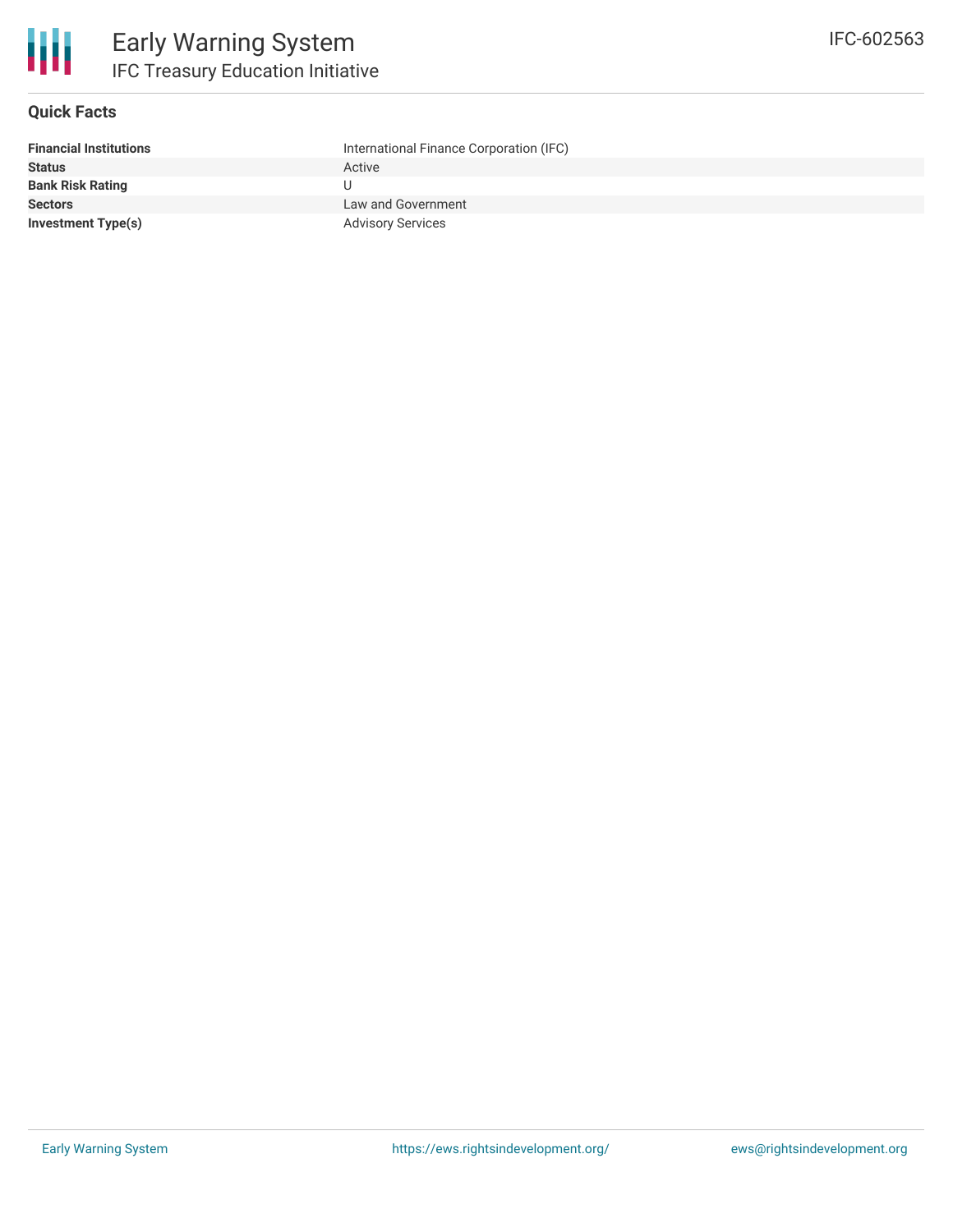

## **Quick Facts**

| International Finance Corporation (IFC) |
|-----------------------------------------|
| Active                                  |
|                                         |
| Law and Government                      |
| <b>Advisory Services</b>                |
|                                         |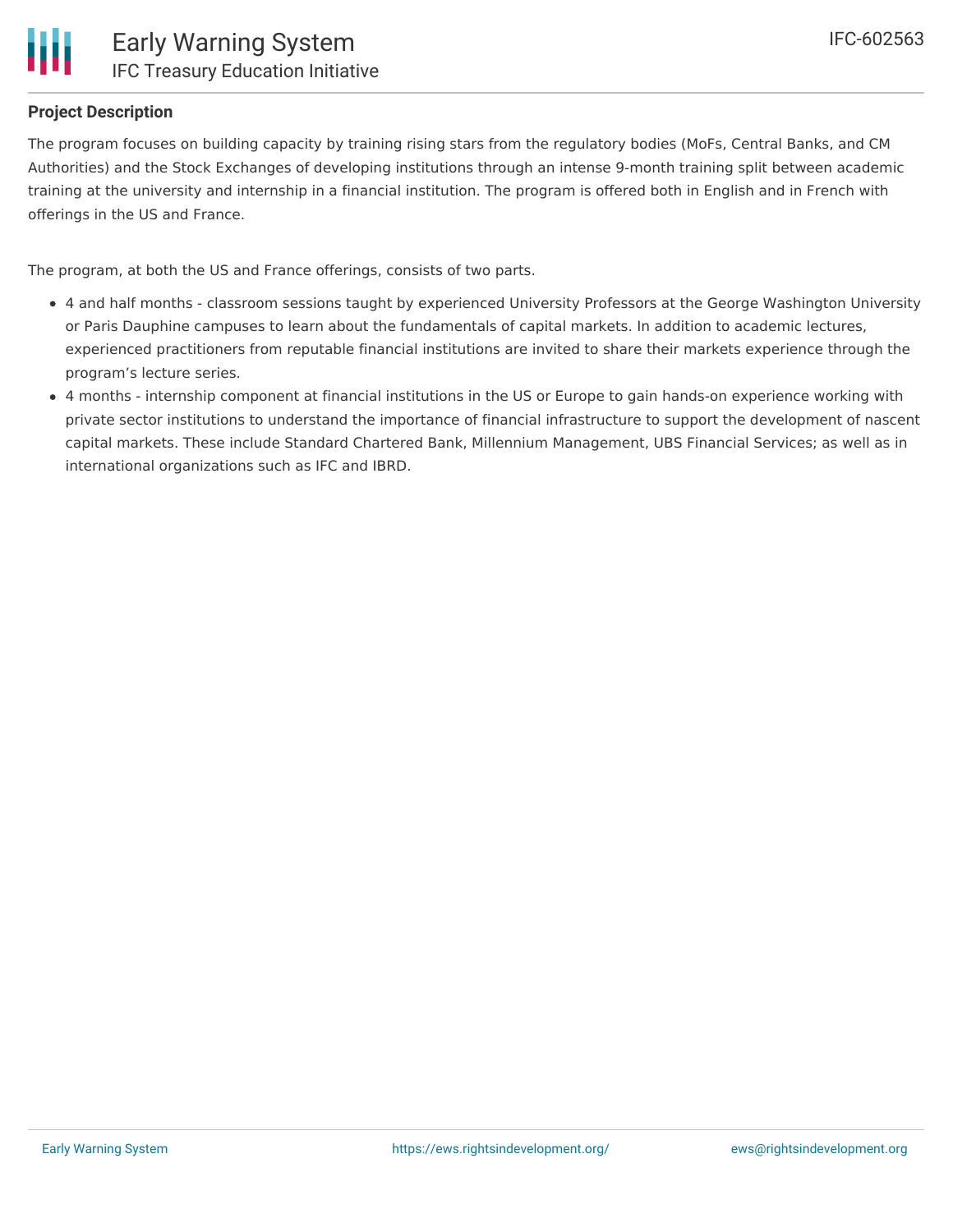

# **Project Description**

The program focuses on building capacity by training rising stars from the regulatory bodies (MoFs, Central Banks, and CM Authorities) and the Stock Exchanges of developing institutions through an intense 9-month training split between academic training at the university and internship in a financial institution. The program is offered both in English and in French with offerings in the US and France.

The program, at both the US and France offerings, consists of two parts.

- 4 and half months classroom sessions taught by experienced University Professors at the George Washington University or Paris Dauphine campuses to learn about the fundamentals of capital markets. In addition to academic lectures, experienced practitioners from reputable financial institutions are invited to share their markets experience through the program's lecture series.
- 4 months internship component at financial institutions in the US or Europe to gain hands-on experience working with private sector institutions to understand the importance of financial infrastructure to support the development of nascent capital markets. These include Standard Chartered Bank, Millennium Management, UBS Financial Services; as well as in international organizations such as IFC and IBRD.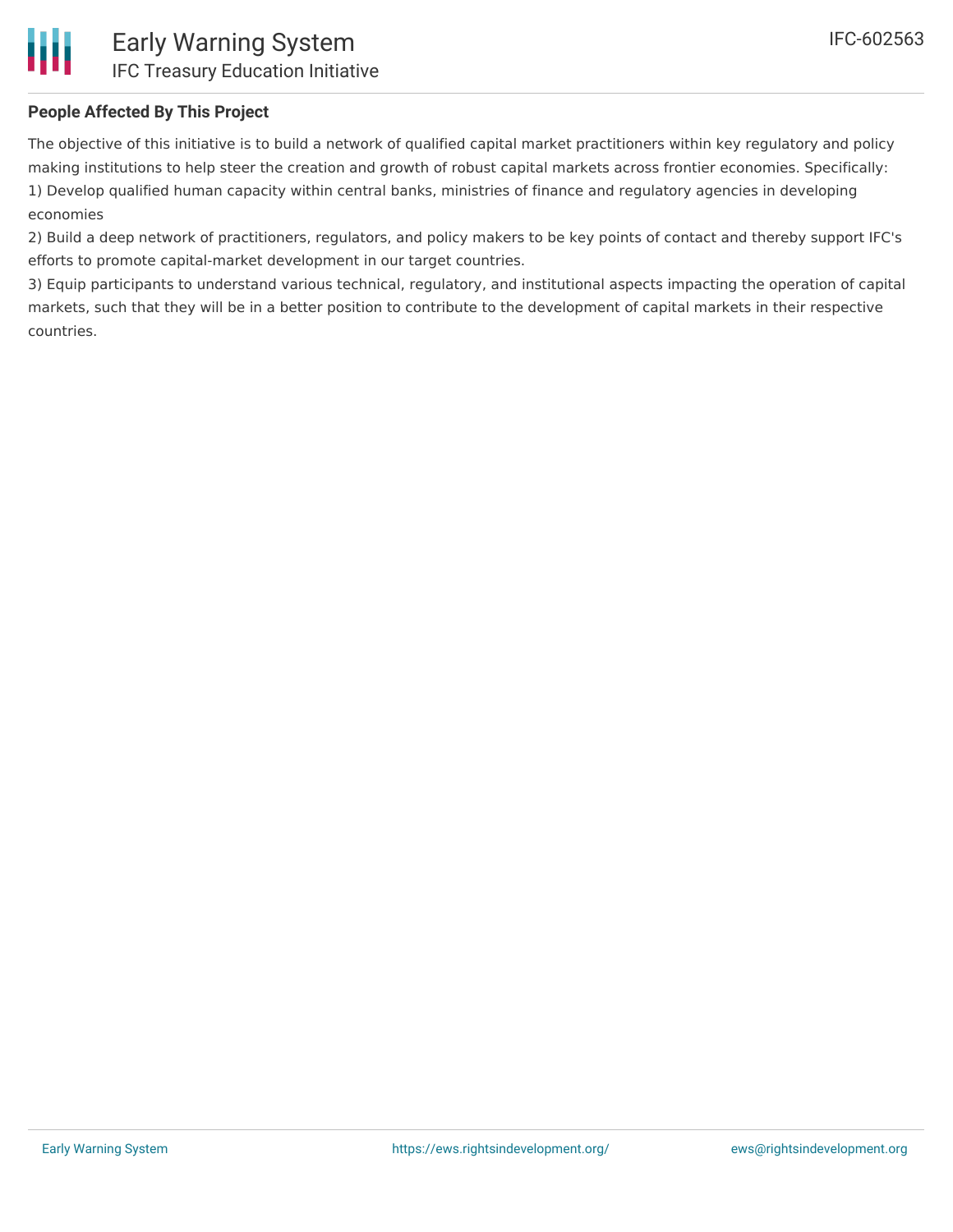# **People Affected By This Project**

Ш

The objective of this initiative is to build a network of qualified capital market practitioners within key regulatory and policy making institutions to help steer the creation and growth of robust capital markets across frontier economies. Specifically: 1) Develop qualified human capacity within central banks, ministries of finance and regulatory agencies in developing economies

2) Build a deep network of practitioners, regulators, and policy makers to be key points of contact and thereby support IFC's efforts to promote capital-market development in our target countries.

3) Equip participants to understand various technical, regulatory, and institutional aspects impacting the operation of capital markets, such that they will be in a better position to contribute to the development of capital markets in their respective countries.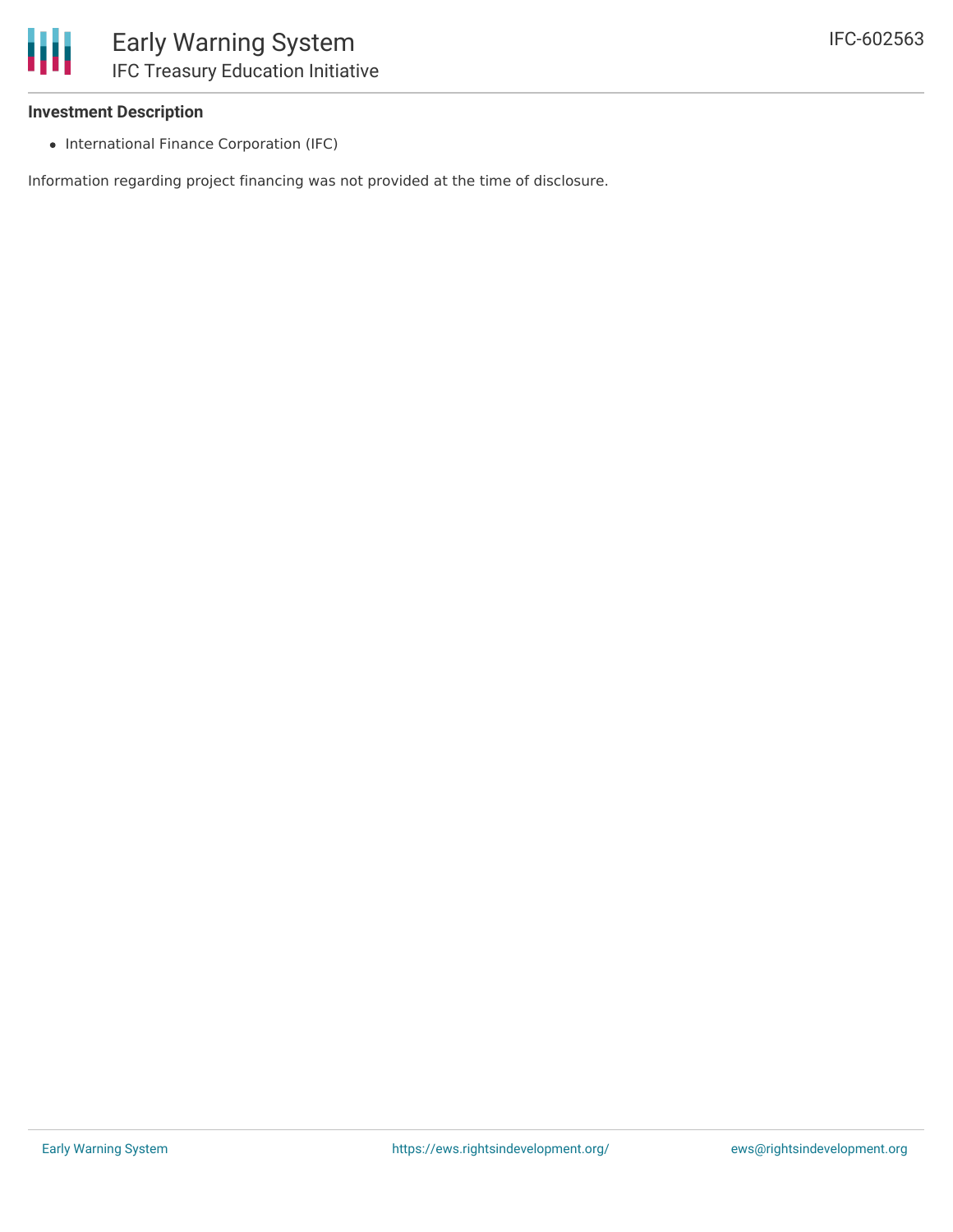### **Investment Description**

• International Finance Corporation (IFC)

Information regarding project financing was not provided at the time of disclosure.